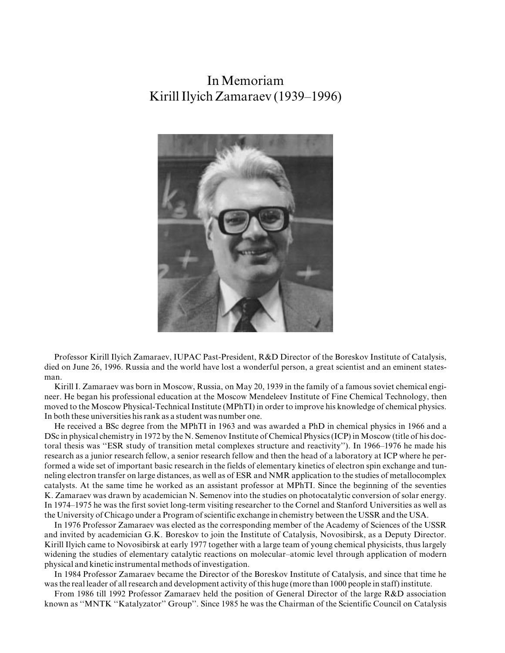## InMemoriam Kirill Ilyich Zamaraev (1939–1996)



Professor Kirill Ilyich Zamaraev, IUPAC Past-President, R&D Director of the Boreskov Institute of Catalysis, died on June 26, 1996. Russia and the world have lost a wonderful person, a great scientist and an eminent statesman.

Kirill I. Zamaraev was born in Moscow, Russia, on May 20, 1939 in the family of a famous soviet chemical engineer. He began his professional education at the Moscow Mendeleev Institute of Fine Chemical Technology, then moved to the Moscow Physical-Technical Institute (MPhTI) in order to improve his knowledge of chemical physics. In both these universities his rank as a student was number one.

He received a BSc degree from the MPhTI in 1963 and was awarded a PhD in chemical physics in 1966 and a DSc in physical chemistry in 1972 by the N. Semenov Institute of Chemical Physics (ICP) in Moscow (title of his doctoral thesis was "ESR study of transition metal complexes structure and reactivity"). In 1966–1976 he made his research as a junior research fellow, a senior research fellow and then the head of a laboratory at ICP where he performed a wide set of important basic research in the fields of elementary kinetics of electron spin exchange and tunneling electron transfer on large distances, as well as of ESR and NMR application to the studies of metallocomplex catalysts. At the same time he worked as an assistant professor at MPhTI. Since the beginning of the seventies K. Zamaraev was drawn by academician N. Semenov into the studies on photocatalytic conversion of solar energy. In 1974–1975 he was the first soviet long-term visiting researcher to the Cornel and Stanford Universities as well as the University of Chicago under a Program of scientific exchange in chemistry between the USSR and the USA.

In 1976 Professor Zamaraev was elected as the corresponding member of the Academy of Sciences of the USSR and invited by academician G.K. Boreskov to join the Institute of Catalysis, Novosibirsk, as a Deputy Director. Kirill Ilyich came to Novosibirsk at early 1977 together with a large team of young chemical physicists, thus largely widening the studies of elementary catalytic reactions on molecular-atomic level through application of modern physical and kinetic instrumental methods of investigation.

In 1984 Professor Zamaraev became the Director of the Boreskov Institute of Catalysis, and since that time he was the real leader of all research and development activity of this huge (more than 1000 people in staff) institute.

From 1986 till 1992 Professor Zamaraev held the position of General Director of the large R&D association known as "MNTK "Katalyzator" Group". Since 1985 he was the Chairman of the Scientific Council on Catalysis